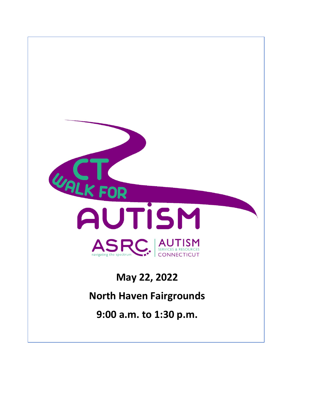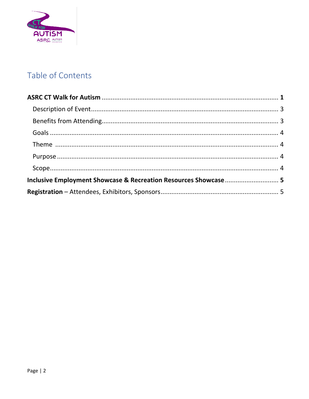

# Table of Contents

| Inclusive Employment Showcase & Recreation Resources Showcase  5 |  |
|------------------------------------------------------------------|--|
|                                                                  |  |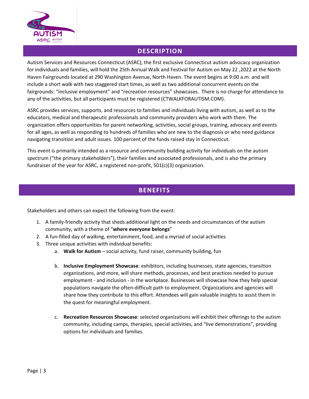

# **DESCRIPTION**

Autism Services and Resources Connecticut (ASRC), the first exclusive Connecticut autism advocacy organization for individuals and families, will hold the 25th Annual Walk and Festival for Autism on May 22 ,2022 at the North Haven Fairgrounds located at 290 Washington Avenue, North Haven. The event begins at 9:00 a.m. and will include a short walk with two staggered start times, as well as two additional concurrent events on the fairgrounds: "inclusive employment" and "recreation resources" showcases. There is no charge for attendance to any of the activities, but all participants must be registered (CTWALKFORAUTISM.COM).

ASRC provides services, supports, and resources to families and individuals living with autism, as well as to the educators, medical and therapeutic professionals and community providers who work with them. The organization offers opportunities for parent networking, activities, social groups, training, advocacy and events for all ages, as well as responding to hundreds of families who are new to the diagnosis or who need guidance navigating transition and adult issues. 100 percent of the funds raised stay in Connecticut.

This event is primarily intended as a resource and community building activity for individuals on the autism spectrum ("the primary stakeholders"), their families and associated professionals, and is also the primary fundraiser of the year for ASRC, a registered non-profit, 501(c)(3) organization.

# **BENEFITS**

Stakeholders and others can expect the following from the event:

- 1. A family-friendly activity that sheds additional light on the needs and circumstances of the autism community, with a theme of "**where everyone belongs**"
- 2. A fun-filled day of walking, entertainment, food, and a myriad of social activities
- 3. Three unique activities with individual benefits:
	- a. **Walk for Autism** social activity, fund raiser, community building, fun
	- b. **Inclusive Employment Showcase**: exhibitors, including businesses, state agencies, transition organizations, and more, will share methods, processes, and best practices needed to pursue employment - and inclusion - in the workplace. Businesses will showcase how they help special populations navigate the often-difficult path to employment. Organizations and agencies will share how they contribute to this effort. Attendees will gain valuable insights to assist them in the quest for meaningful employment.
	- c. **Recreation Resources Showcase**: selected organizations will exhibit their offerings to the autism community, including camps, therapies, special activities, and "live demonstrations", providing options for individuals and families.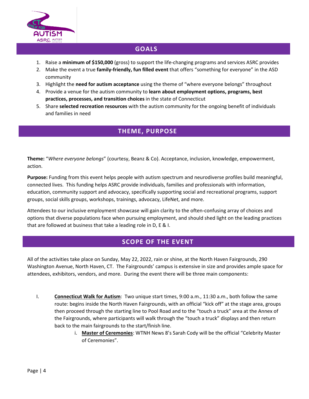

# **GOALS**

- 1. Raise a **minimum of \$150,000** (gross) to support the life-changing programs and services ASRC provides
- 2. Make the event a true **family-friendly, fun filled event** that offers "something for everyone" in the ASD community
- 3. Highlight the **need for autism acceptance** using the theme of "where everyone belongs" throughout
- 4. Provide a venue for the autism community to **learn about employment options, programs, best practices, processes, and transition choices** in the state of Connecticut
- 5. Share **selected recreation resources** with the autism community for the ongoing benefit of individuals and families in need

### **THEME, PURPOSE**

**Theme:** "*Where everyone belongs*" (courtesy, Beanz & Co). Acceptance, inclusion, knowledge, empowerment, action.

**Purpose:** Funding from this event helps people with autism spectrum and neurodiverse profiles build meaningful, connected lives. This funding helps ASRC provide individuals, families and professionals with information, education, community support and advocacy, specifically supporting social and recreational programs, support groups, social skills groups, workshops, trainings, advocacy, LifeNet, and more.

Attendees to our inclusive employment showcase will gain clarity to the often-confusing array of choices and options that diverse populations face when pursuing employment, and should shed light on the leading practices that are followed at business that take a leading role in D, E & I.

# **SCOPE OF THE EVENT**

All of the activities take place on Sunday, May 22, 2022, rain or shine, at the North Haven Fairgrounds, 290 Washington Avenue, North Haven, CT. The Fairgrounds' campus is extensive in size and provides ample space for attendees, exhibitors, vendors, and more. During the event there will be three main components:

- I. **Connecticut Walk for Autism**: Two unique start times, 9:00 a.m., 11:30 a.m., both follow the same route: begins inside the North Haven Fairgrounds, with an official "kick off" at the stage area, groups then proceed through the starting line to Pool Road and to the "touch a truck" area at the Annex of the Fairgrounds, where participants will walk through the "touch a truck" displays and then return back to the main fairgrounds to the start/finish line.
	- i. **Master of Ceremonies**: WTNH News 8's Sarah Cody will be the official "Celebrity Master of Ceremonies".